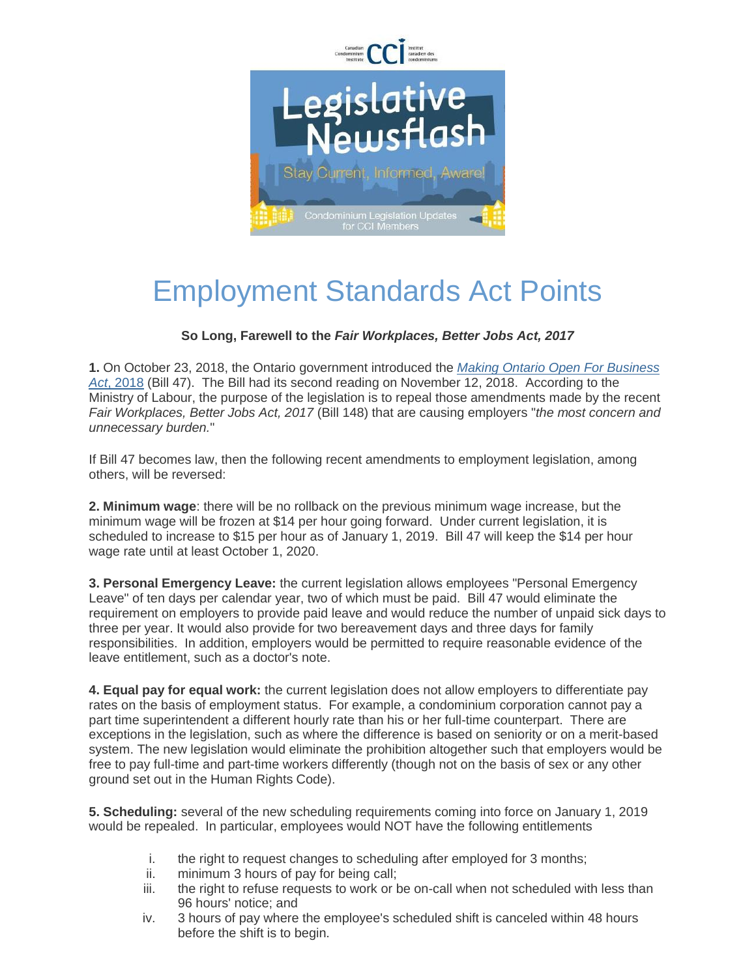

## Employment Standards Act Points

## **So Long, Farewell to the** *Fair Workplaces, Better Jobs Act, 2017*

**1.** On October 23, 2018, the Ontario government introduced the *[Making Ontario Open For Business](https://ccitoronto.us7.list-manage.com/track/click?u=0b3d2f73888a0f49a8c4b259a&id=4a877cf0f9&e=c58516635d)  Act*[, 2018](https://ccitoronto.us7.list-manage.com/track/click?u=0b3d2f73888a0f49a8c4b259a&id=4a877cf0f9&e=c58516635d) (Bill 47). The Bill had its second reading on November 12, 2018. According to the Ministry of Labour, the purpose of the legislation is to repeal those amendments made by the recent *Fair Workplaces, Better Jobs Act, 2017* (Bill 148) that are causing employers "*the most concern and unnecessary burden.*"

If Bill 47 becomes law, then the following recent amendments to employment legislation, among others, will be reversed:

**2. Minimum wage**: there will be no rollback on the previous minimum wage increase, but the minimum wage will be frozen at \$14 per hour going forward. Under current legislation, it is scheduled to increase to \$15 per hour as of January 1, 2019. Bill 47 will keep the \$14 per hour wage rate until at least October 1, 2020.

**3. Personal Emergency Leave:** the current legislation allows employees "Personal Emergency Leave" of ten days per calendar year, two of which must be paid. Bill 47 would eliminate the requirement on employers to provide paid leave and would reduce the number of unpaid sick days to three per year. It would also provide for two bereavement days and three days for family responsibilities. In addition, employers would be permitted to require reasonable evidence of the leave entitlement, such as a doctor's note.

**4. Equal pay for equal work:** the current legislation does not allow employers to differentiate pay rates on the basis of employment status. For example, a condominium corporation cannot pay a part time superintendent a different hourly rate than his or her full-time counterpart. There are exceptions in the legislation, such as where the difference is based on seniority or on a merit-based system. The new legislation would eliminate the prohibition altogether such that employers would be free to pay full-time and part-time workers differently (though not on the basis of sex or any other ground set out in the Human Rights Code).

**5. Scheduling:** several of the new scheduling requirements coming into force on January 1, 2019 would be repealed. In particular, employees would NOT have the following entitlements

- i. the right to request changes to scheduling after employed for 3 months;
- ii. minimum 3 hours of pay for being call;
- iii. the right to refuse requests to work or be on-call when not scheduled with less than 96 hours' notice; and
- iv. 3 hours of pay where the employee's scheduled shift is canceled within 48 hours before the shift is to begin.